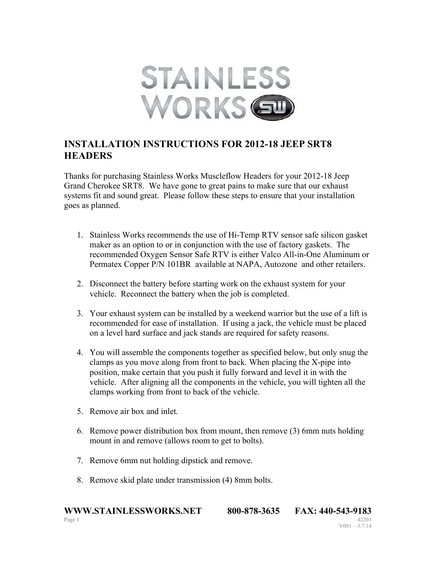

## **INSTALLATION INSTRUCTIONS FOR 2012-18 JEEP SRT8 HEADERS**

Thanks for purchasing Stainless Works Muscleflow Headers for your 2012-18 Jeep Grand Cherokee SRT8. We have gone to great pains to make sure that our exhaust systems fit and sound great. Please follow these steps to ensure that your installation goes as planned.

- 1. Stainless Works recommends the use of Hi-Temp RTV sensor safe silicon gasket maker as an option to or in conjunction with the use of factory gaskets. The recommended Oxygen Sensor Safe RTV is either Valco All-in-One Aluminum or Permatex Copper P/N 101BR available at NAPA, Autozone and other retailers.
- 2. Disconnect the battery before starting work on the exhaust system for your vehicle. Reconnect the battery when the job is completed.
- 3. Your exhaust system can be installed by a weekend warrior but the use of a lift is recommended for ease of installation. If using a jack, the vehicle must be placed on a level hard surface and jack stands are required for safety reasons.
- 4. You will assemble the components together as specified below, but only snug the clamps as you move along from front to back. When placing the X-pipe into position, make certain that you push it fully forward and level it in with the vehicle. After aligning all the components in the vehicle, you will tighten all the clamps working from front to back of the vehicle.
- 5. Remove air box and inlet.
- 6. Remove power distribution box from mount, then remove (3) 6mm nuts holding mount in and remove (allows room to get to bolts).
- 7. Remove 6mm nut holding dipstick and remove.
- 8. Remove skid plate under transmission (4) 8mm bolts.

**WWW.STAINLESSWORKS.NET** 800-878-3635 FAX: 440-543-9183 Page 1 42201  $V001 - 5.7.14$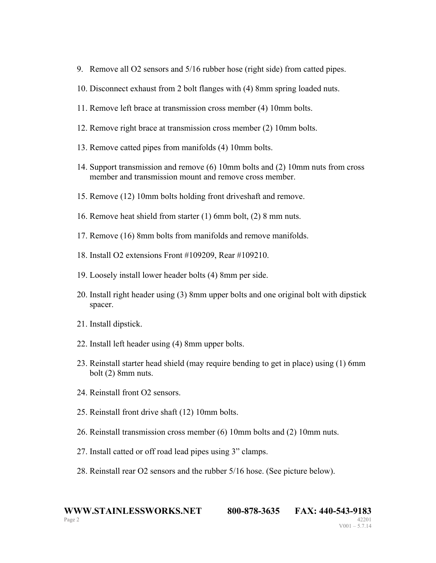- 9. Remove all O2 sensors and 5/16 rubber hose (right side) from catted pipes.
- 10. Disconnect exhaust from 2 bolt flanges with (4) 8mm spring loaded nuts.
- 11. Remove left brace at transmission cross member (4) 10mm bolts.
- 12. Remove right brace at transmission cross member (2) 10mm bolts.
- 13. Remove catted pipes from manifolds (4) 10mm bolts.
- 14. Support transmission and remove (6) 10mm bolts and (2) 10mm nuts from cross member and transmission mount and remove cross member.
- 15. Remove (12) 10mm bolts holding front driveshaft and remove.
- 16. Remove heat shield from starter (1) 6mm bolt, (2) 8 mm nuts.
- 17. Remove (16) 8mm bolts from manifolds and remove manifolds.
- 18. Install O2 extensions Front #109209, Rear #109210.
- 19. Loosely install lower header bolts (4) 8mm per side.
- 20. Install right header using (3) 8mm upper bolts and one original bolt with dipstick spacer.
- 21. Install dipstick.
- 22. Install left header using (4) 8mm upper bolts.
- 23. Reinstall starter head shield (may require bending to get in place) using (1) 6mm bolt (2) 8mm nuts.
- 24. Reinstall front O2 sensors.
- 25. Reinstall front drive shaft (12) 10mm bolts.
- 26. Reinstall transmission cross member (6) 10mm bolts and (2) 10mm nuts.
- 27. Install catted or off road lead pipes using 3" clamps.
- 28. Reinstall rear O2 sensors and the rubber 5/16 hose. (See picture below).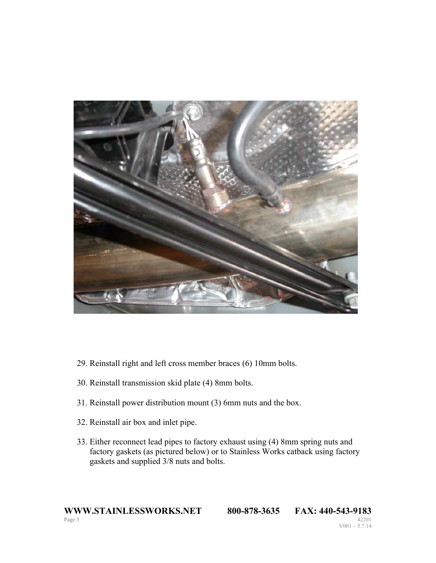

- 29. Reinstall right and left cross member braces (6) 10mm bolts.
- 30. Reinstall transmission skid plate (4) 8mm bolts.
- 31. Reinstall power distribution mount (3) 6mm nuts and the box.
- 32. Reinstall air box and inlet pipe.
- 33. Either reconnect lead pipes to factory exhaust using (4) 8mm spring nuts and factory gaskets (as pictured below) or to Stainless Works catback using factory gaskets and supplied 3/8 nuts and bolts.

```
V001 - 5.7.14
```